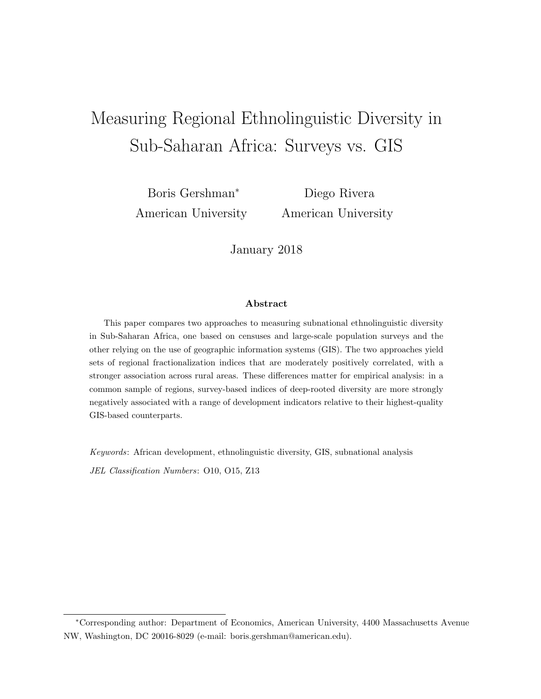# Measuring Regional Ethnolinguistic Diversity in Sub-Saharan Africa: Surveys vs. GIS

Boris Gershman<sup>∗</sup> American University

Diego Rivera American University

January 2018

#### Abstract

This paper compares two approaches to measuring subnational ethnolinguistic diversity in Sub-Saharan Africa, one based on censuses and large-scale population surveys and the other relying on the use of geographic information systems (GIS). The two approaches yield sets of regional fractionalization indices that are moderately positively correlated, with a stronger association across rural areas. These differences matter for empirical analysis: in a common sample of regions, survey-based indices of deep-rooted diversity are more strongly negatively associated with a range of development indicators relative to their highest-quality GIS-based counterparts.

Keywords: African development, ethnolinguistic diversity, GIS, subnational analysis JEL Classification Numbers: O10, O15, Z13

<sup>∗</sup>Corresponding author: Department of Economics, American University, 4400 Massachusetts Avenue NW, Washington, DC 20016-8029 (e-mail: boris.gershman@american.edu).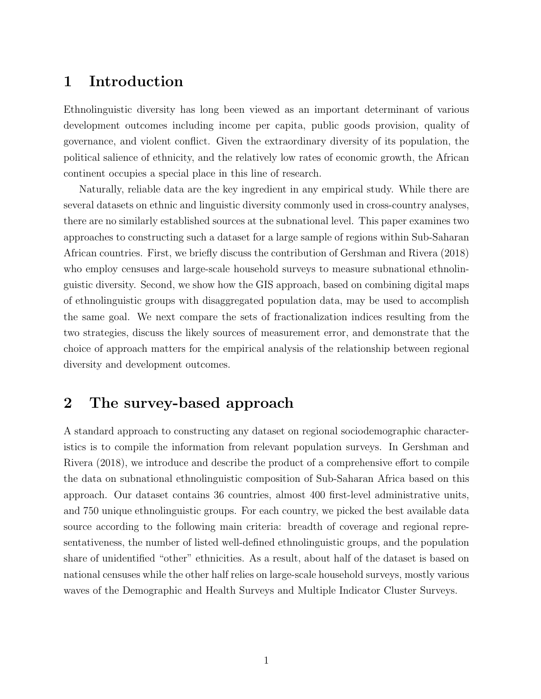#### 1 Introduction

Ethnolinguistic diversity has long been viewed as an important determinant of various development outcomes including income per capita, public goods provision, quality of governance, and violent conflict. Given the extraordinary diversity of its population, the political salience of ethnicity, and the relatively low rates of economic growth, the African continent occupies a special place in this line of research.

Naturally, reliable data are the key ingredient in any empirical study. While there are several datasets on ethnic and linguistic diversity commonly used in cross-country analyses, there are no similarly established sources at the subnational level. This paper examines two approaches to constructing such a dataset for a large sample of regions within Sub-Saharan African countries. First, we briefly discuss the contribution of Gershman and Rivera (2018) who employ censuses and large-scale household surveys to measure subnational ethnolinguistic diversity. Second, we show how the GIS approach, based on combining digital maps of ethnolinguistic groups with disaggregated population data, may be used to accomplish the same goal. We next compare the sets of fractionalization indices resulting from the two strategies, discuss the likely sources of measurement error, and demonstrate that the choice of approach matters for the empirical analysis of the relationship between regional diversity and development outcomes.

## 2 The survey-based approach

A standard approach to constructing any dataset on regional sociodemographic characteristics is to compile the information from relevant population surveys. In Gershman and Rivera (2018), we introduce and describe the product of a comprehensive effort to compile the data on subnational ethnolinguistic composition of Sub-Saharan Africa based on this approach. Our dataset contains 36 countries, almost 400 first-level administrative units, and 750 unique ethnolinguistic groups. For each country, we picked the best available data source according to the following main criteria: breadth of coverage and regional representativeness, the number of listed well-defined ethnolinguistic groups, and the population share of unidentified "other" ethnicities. As a result, about half of the dataset is based on national censuses while the other half relies on large-scale household surveys, mostly various waves of the Demographic and Health Surveys and Multiple Indicator Cluster Surveys.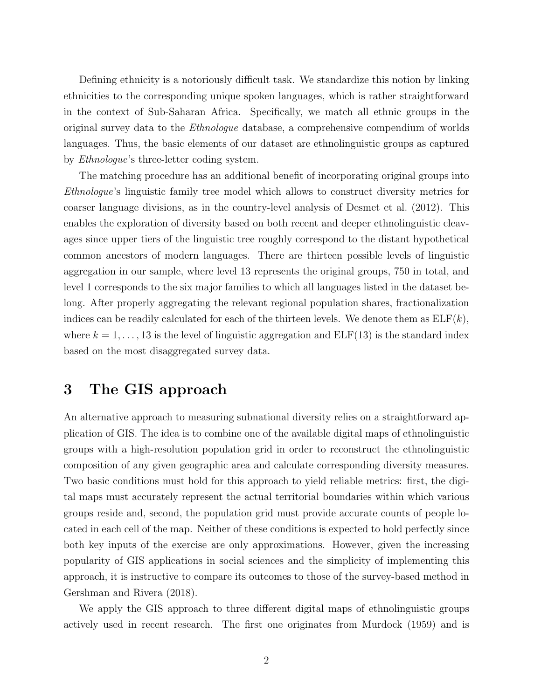Defining ethnicity is a notoriously difficult task. We standardize this notion by linking ethnicities to the corresponding unique spoken languages, which is rather straightforward in the context of Sub-Saharan Africa. Specifically, we match all ethnic groups in the original survey data to the Ethnologue database, a comprehensive compendium of worlds languages. Thus, the basic elements of our dataset are ethnolinguistic groups as captured by Ethnologue's three-letter coding system.

The matching procedure has an additional benefit of incorporating original groups into Ethnologue's linguistic family tree model which allows to construct diversity metrics for coarser language divisions, as in the country-level analysis of Desmet et al. (2012). This enables the exploration of diversity based on both recent and deeper ethnolinguistic cleavages since upper tiers of the linguistic tree roughly correspond to the distant hypothetical common ancestors of modern languages. There are thirteen possible levels of linguistic aggregation in our sample, where level 13 represents the original groups, 750 in total, and level 1 corresponds to the six major families to which all languages listed in the dataset belong. After properly aggregating the relevant regional population shares, fractionalization indices can be readily calculated for each of the thirteen levels. We denote them as  $ELF(k)$ , where  $k = 1, \ldots, 13$  is the level of linguistic aggregation and  $ELF(13)$  is the standard index based on the most disaggregated survey data.

#### 3 The GIS approach

An alternative approach to measuring subnational diversity relies on a straightforward application of GIS. The idea is to combine one of the available digital maps of ethnolinguistic groups with a high-resolution population grid in order to reconstruct the ethnolinguistic composition of any given geographic area and calculate corresponding diversity measures. Two basic conditions must hold for this approach to yield reliable metrics: first, the digital maps must accurately represent the actual territorial boundaries within which various groups reside and, second, the population grid must provide accurate counts of people located in each cell of the map. Neither of these conditions is expected to hold perfectly since both key inputs of the exercise are only approximations. However, given the increasing popularity of GIS applications in social sciences and the simplicity of implementing this approach, it is instructive to compare its outcomes to those of the survey-based method in Gershman and Rivera (2018).

We apply the GIS approach to three different digital maps of ethnolinguistic groups actively used in recent research. The first one originates from Murdock (1959) and is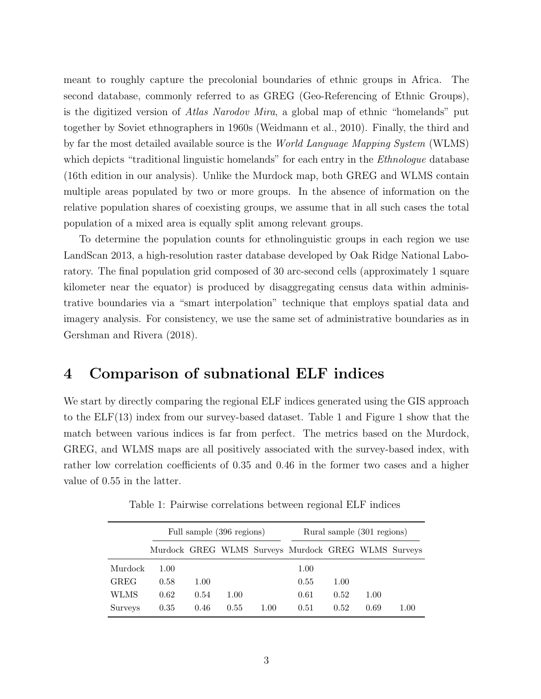meant to roughly capture the precolonial boundaries of ethnic groups in Africa. The second database, commonly referred to as GREG (Geo-Referencing of Ethnic Groups), is the digitized version of Atlas Narodov Mira, a global map of ethnic "homelands" put together by Soviet ethnographers in 1960s (Weidmann et al., 2010). Finally, the third and by far the most detailed available source is the World Language Mapping System (WLMS) which depicts "traditional linguistic homelands" for each entry in the *Ethnologue* database (16th edition in our analysis). Unlike the Murdock map, both GREG and WLMS contain multiple areas populated by two or more groups. In the absence of information on the relative population shares of coexisting groups, we assume that in all such cases the total population of a mixed area is equally split among relevant groups.

To determine the population counts for ethnolinguistic groups in each region we use LandScan 2013, a high-resolution raster database developed by Oak Ridge National Laboratory. The final population grid composed of 30 arc-second cells (approximately 1 square kilometer near the equator) is produced by disaggregating census data within administrative boundaries via a "smart interpolation" technique that employs spatial data and imagery analysis. For consistency, we use the same set of administrative boundaries as in Gershman and Rivera (2018).

#### 4 Comparison of subnational ELF indices

We start by directly comparing the regional ELF indices generated using the GIS approach to the ELF(13) index from our survey-based dataset. Table [1](#page-3-0) and Figure [1](#page-4-0) show that the match between various indices is far from perfect. The metrics based on the Murdock, GREG, and WLMS maps are all positively associated with the survey-based index, with rather low correlation coefficients of 0.35 and 0.46 in the former two cases and a higher value of 0.55 in the latter.

<span id="page-3-0"></span>

|             | Full sample (396 regions) |      |      |          | Rural sample (301 regions)                          |      |      |          |
|-------------|---------------------------|------|------|----------|-----------------------------------------------------|------|------|----------|
|             |                           |      |      |          | Murdock GREG WLMS Surveys Murdock GREG WLMS Surveys |      |      |          |
| Murdock     | 1.00                      |      |      |          | 1.00                                                |      |      |          |
| <b>GREG</b> | 0.58                      | 1.00 |      |          | 0.55                                                | 1.00 |      |          |
| WLMS        | 0.62                      | 0.54 | 1.00 |          | 0.61                                                | 0.52 | 1.00 |          |
| Surveys     | 0.35                      | 0.46 | 0.55 | $1.00\,$ | 0.51                                                | 0.52 | 0.69 | $1.00\,$ |

Table 1: Pairwise correlations between regional ELF indices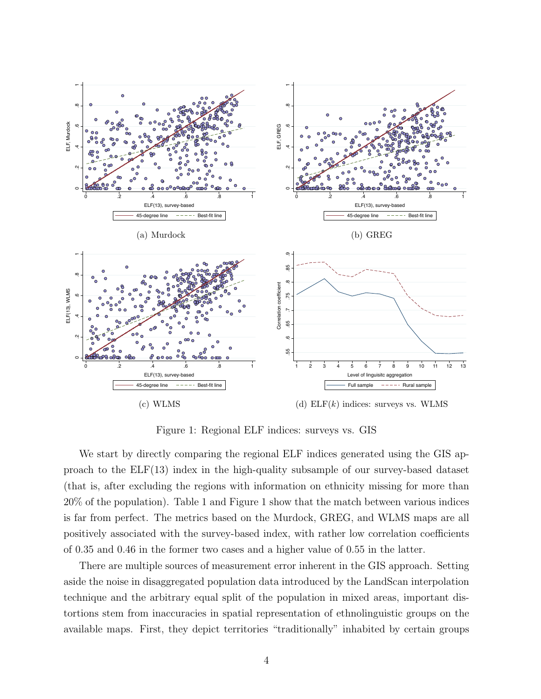<span id="page-4-0"></span>

Figure 1: Regional ELF indices: surveys vs. GIS

We start by directly comparing the regional ELF indices generated using the GIS approach to the ELF(13) index in the high-quality subsample of our survey-based dataset (that is, after excluding the regions with information on ethnicity missing for more than 20% of the population). Table [1](#page-3-0) and Figure [1](#page-4-0) show that the match between various indices is far from perfect. The metrics based on the Murdock, GREG, and WLMS maps are all positively associated with the survey-based index, with rather low correlation coefficients of 0.35 and 0.46 in the former two cases and a higher value of 0.55 in the latter.

There are multiple sources of measurement error inherent in the GIS approach. Setting aside the noise in disaggregated population data introduced by the LandScan interpolation technique and the arbitrary equal split of the population in mixed areas, important distortions stem from inaccuracies in spatial representation of ethnolinguistic groups on the available maps. First, they depict territories "traditionally" inhabited by certain groups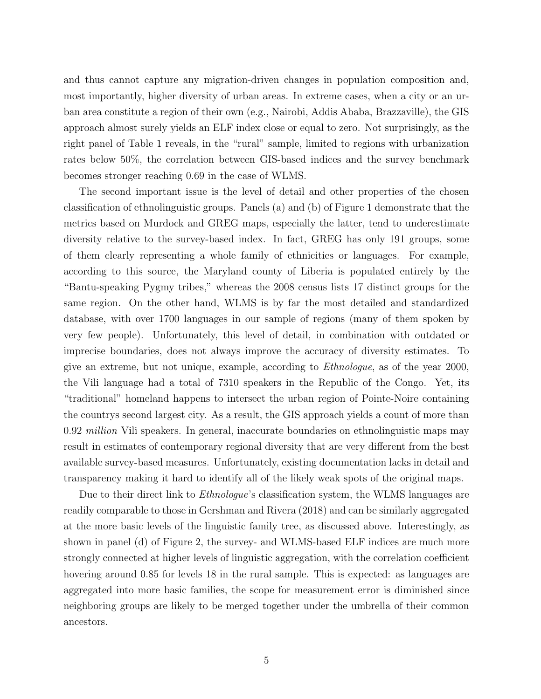and thus cannot capture any migration-driven changes in population composition and, most importantly, higher diversity of urban areas. In extreme cases, when a city or an urban area constitute a region of their own (e.g., Nairobi, Addis Ababa, Brazzaville), the GIS approach almost surely yields an ELF index close or equal to zero. Not surprisingly, as the right panel of Table [1](#page-3-0) reveals, in the "rural" sample, limited to regions with urbanization rates below 50%, the correlation between GIS-based indices and the survey benchmark becomes stronger reaching 0.69 in the case of WLMS.

The second important issue is the level of detail and other properties of the chosen classification of ethnolinguistic groups. Panels (a) and (b) of Figure [1](#page-4-0) demonstrate that the metrics based on Murdock and GREG maps, especially the latter, tend to underestimate diversity relative to the survey-based index. In fact, GREG has only 191 groups, some of them clearly representing a whole family of ethnicities or languages. For example, according to this source, the Maryland county of Liberia is populated entirely by the "Bantu-speaking Pygmy tribes," whereas the 2008 census lists 17 distinct groups for the same region. On the other hand, WLMS is by far the most detailed and standardized database, with over 1700 languages in our sample of regions (many of them spoken by very few people). Unfortunately, this level of detail, in combination with outdated or imprecise boundaries, does not always improve the accuracy of diversity estimates. To give an extreme, but not unique, example, according to Ethnologue, as of the year 2000, the Vili language had a total of 7310 speakers in the Republic of the Congo. Yet, its "traditional" homeland happens to intersect the urban region of Pointe-Noire containing the countrys second largest city. As a result, the GIS approach yields a count of more than 0.92 *million* Vili speakers. In general, inaccurate boundaries on ethnolinguistic maps may result in estimates of contemporary regional diversity that are very different from the best available survey-based measures. Unfortunately, existing documentation lacks in detail and transparency making it hard to identify all of the likely weak spots of the original maps.

Due to their direct link to *Ethnologue's* classification system, the WLMS languages are readily comparable to those in Gershman and Rivera (2018) and can be similarly aggregated at the more basic levels of the linguistic family tree, as discussed above. Interestingly, as shown in panel (d) of Figure [2,](#page-6-0) the survey- and WLMS-based ELF indices are much more strongly connected at higher levels of linguistic aggregation, with the correlation coefficient hovering around 0.85 for levels 18 in the rural sample. This is expected: as languages are aggregated into more basic families, the scope for measurement error is diminished since neighboring groups are likely to be merged together under the umbrella of their common ancestors.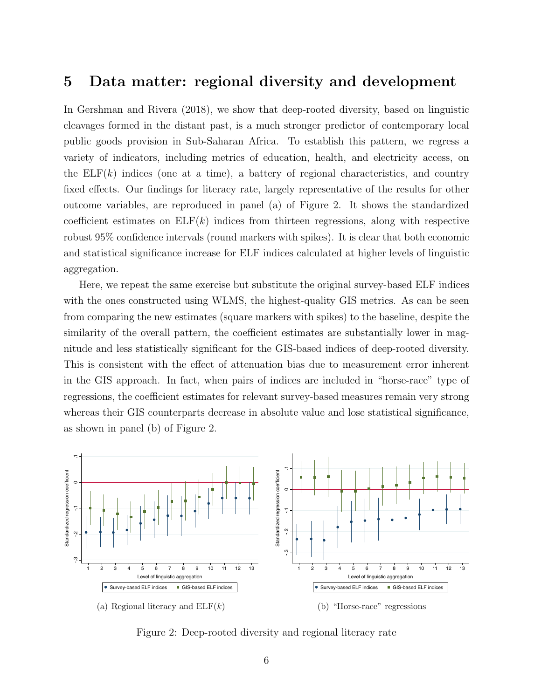#### 5 Data matter: regional diversity and development

In Gershman and Rivera (2018), we show that deep-rooted diversity, based on linguistic cleavages formed in the distant past, is a much stronger predictor of contemporary local public goods provision in Sub-Saharan Africa. To establish this pattern, we regress a variety of indicators, including metrics of education, health, and electricity access, on the  $ELF(k)$  indices (one at a time), a battery of regional characteristics, and country fixed effects. Our findings for literacy rate, largely representative of the results for other outcome variables, are reproduced in panel (a) of Figure [2.](#page-6-0) It shows the standardized coefficient estimates on  $ELF(k)$  indices from thirteen regressions, along with respective robust 95% confidence intervals (round markers with spikes). It is clear that both economic and statistical significance increase for ELF indices calculated at higher levels of linguistic aggregation.

Here, we repeat the same exercise but substitute the original survey-based ELF indices with the ones constructed using WLMS, the highest-quality GIS metrics. As can be seen from comparing the new estimates (square markers with spikes) to the baseline, despite the similarity of the overall pattern, the coefficient estimates are substantially lower in magnitude and less statistically significant for the GIS-based indices of deep-rooted diversity. This is consistent with the effect of attenuation bias due to measurement error inherent in the GIS approach. In fact, when pairs of indices are included in "horse-race" type of regressions, the coefficient estimates for relevant survey-based measures remain very strong whereas their GIS counterparts decrease in absolute value and lose statistical significance, as shown in panel (b) of Figure [2.](#page-6-0)

<span id="page-6-0"></span>

Figure 2: Deep-rooted diversity and regional literacy rate